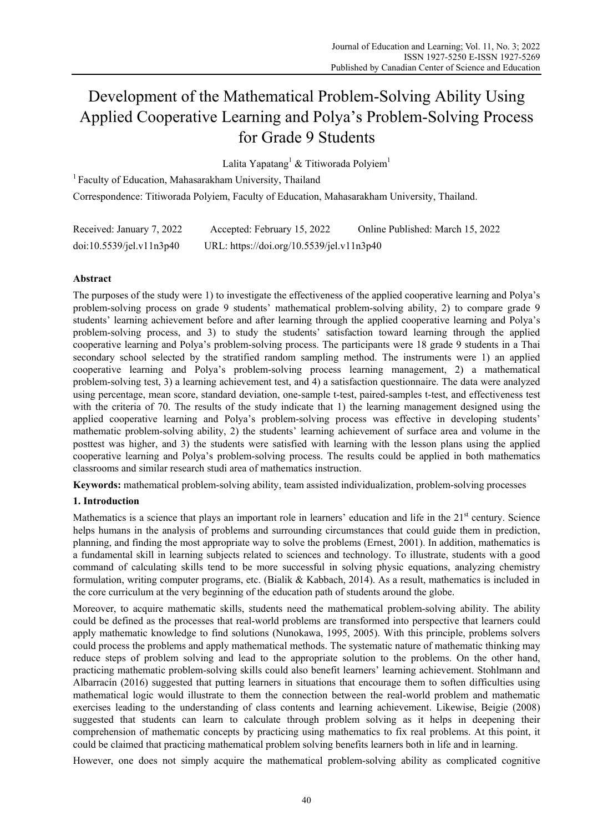# Development of the Mathematical Problem-Solving Ability Using Applied Cooperative Learning and Polya's Problem-Solving Process for Grade 9 Students

Lalita Yapatang<sup>1</sup> & Titiworada Polyiem<sup>1</sup>

 $1$  Faculty of Education, Mahasarakham University, Thailand

Correspondence: Titiworada Polyiem, Faculty of Education, Mahasarakham University, Thailand.

| Received: January 7, 2022 | Accepted: February 15, 2022               | Online Published: March 15, 2022 |
|---------------------------|-------------------------------------------|----------------------------------|
| doi:10.5539/jel.v11n3p40  | URL: https://doi.org/10.5539/jel.v11n3p40 |                                  |

# **Abstract**

The purposes of the study were 1) to investigate the effectiveness of the applied cooperative learning and Polya's problem-solving process on grade 9 students' mathematical problem-solving ability, 2) to compare grade 9 students' learning achievement before and after learning through the applied cooperative learning and Polya's problem-solving process, and 3) to study the students' satisfaction toward learning through the applied cooperative learning and Polya's problem-solving process. The participants were 18 grade 9 students in a Thai secondary school selected by the stratified random sampling method. The instruments were 1) an applied cooperative learning and Polya's problem-solving process learning management, 2) a mathematical problem-solving test, 3) a learning achievement test, and 4) a satisfaction questionnaire. The data were analyzed using percentage, mean score, standard deviation, one-sample t-test, paired-samples t-test, and effectiveness test with the criteria of 70. The results of the study indicate that 1) the learning management designed using the applied cooperative learning and Polya's problem-solving process was effective in developing students' mathematic problem-solving ability, 2) the students' learning achievement of surface area and volume in the posttest was higher, and 3) the students were satisfied with learning with the lesson plans using the applied cooperative learning and Polya's problem-solving process. The results could be applied in both mathematics classrooms and similar research studi area of mathematics instruction.

**Keywords:** mathematical problem-solving ability, team assisted individualization, problem-solving processes

# **1. Introduction**

Mathematics is a science that plays an important role in learners' education and life in the 21<sup>st</sup> century. Science helps humans in the analysis of problems and surrounding circumstances that could guide them in prediction, planning, and finding the most appropriate way to solve the problems (Ernest, 2001). In addition, mathematics is a fundamental skill in learning subjects related to sciences and technology. To illustrate, students with a good command of calculating skills tend to be more successful in solving physic equations, analyzing chemistry formulation, writing computer programs, etc. (Bialik & Kabbach, 2014). As a result, mathematics is included in the core curriculum at the very beginning of the education path of students around the globe.

Moreover, to acquire mathematic skills, students need the mathematical problem-solving ability. The ability could be defined as the processes that real-world problems are transformed into perspective that learners could apply mathematic knowledge to find solutions (Nunokawa, 1995, 2005). With this principle, problems solvers could process the problems and apply mathematical methods. The systematic nature of mathematic thinking may reduce steps of problem solving and lead to the appropriate solution to the problems. On the other hand, practicing mathematic problem-solving skills could also benefit learners' learning achievement. Stohlmann and Albarracín (2016) suggested that putting learners in situations that encourage them to soften difficulties using mathematical logic would illustrate to them the connection between the real-world problem and mathematic exercises leading to the understanding of class contents and learning achievement. Likewise, Beigie (2008) suggested that students can learn to calculate through problem solving as it helps in deepening their comprehension of mathematic concepts by practicing using mathematics to fix real problems. At this point, it could be claimed that practicing mathematical problem solving benefits learners both in life and in learning.

However, one does not simply acquire the mathematical problem-solving ability as complicated cognitive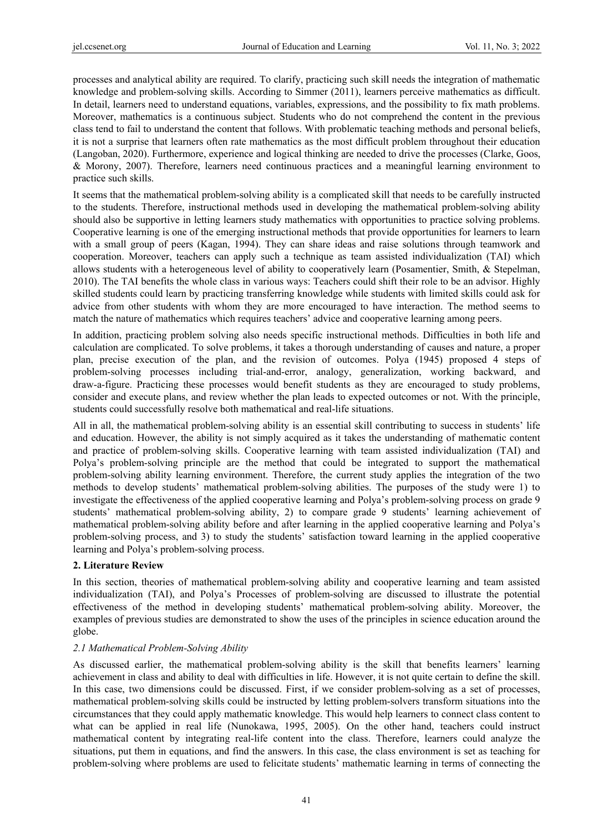processes and analytical ability are required. To clarify, practicing such skill needs the integration of mathematic knowledge and problem-solving skills. According to Simmer (2011), learners perceive mathematics as difficult. In detail, learners need to understand equations, variables, expressions, and the possibility to fix math problems. Moreover, mathematics is a continuous subject. Students who do not comprehend the content in the previous class tend to fail to understand the content that follows. With problematic teaching methods and personal beliefs, it is not a surprise that learners often rate mathematics as the most difficult problem throughout their education (Langoban, 2020). Furthermore, experience and logical thinking are needed to drive the processes (Clarke, Goos, & Morony, 2007). Therefore, learners need continuous practices and a meaningful learning environment to practice such skills.

It seems that the mathematical problem-solving ability is a complicated skill that needs to be carefully instructed to the students. Therefore, instructional methods used in developing the mathematical problem-solving ability should also be supportive in letting learners study mathematics with opportunities to practice solving problems. Cooperative learning is one of the emerging instructional methods that provide opportunities for learners to learn with a small group of peers (Kagan, 1994). They can share ideas and raise solutions through teamwork and cooperation. Moreover, teachers can apply such a technique as team assisted individualization (TAI) which allows students with a heterogeneous level of ability to cooperatively learn (Posamentier, Smith, & Stepelman, 2010). The TAI benefits the whole class in various ways: Teachers could shift their role to be an advisor. Highly skilled students could learn by practicing transferring knowledge while students with limited skills could ask for advice from other students with whom they are more encouraged to have interaction. The method seems to match the nature of mathematics which requires teachers' advice and cooperative learning among peers.

In addition, practicing problem solving also needs specific instructional methods. Difficulties in both life and calculation are complicated. To solve problems, it takes a thorough understanding of causes and nature, a proper plan, precise execution of the plan, and the revision of outcomes. Polya (1945) proposed 4 steps of problem-solving processes including trial-and-error, analogy, generalization, working backward, and draw-a-figure. Practicing these processes would benefit students as they are encouraged to study problems, consider and execute plans, and review whether the plan leads to expected outcomes or not. With the principle, students could successfully resolve both mathematical and real-life situations.

All in all, the mathematical problem-solving ability is an essential skill contributing to success in students' life and education. However, the ability is not simply acquired as it takes the understanding of mathematic content and practice of problem-solving skills. Cooperative learning with team assisted individualization (TAI) and Polya's problem-solving principle are the method that could be integrated to support the mathematical problem-solving ability learning environment. Therefore, the current study applies the integration of the two methods to develop students' mathematical problem-solving abilities. The purposes of the study were 1) to investigate the effectiveness of the applied cooperative learning and Polya's problem-solving process on grade 9 students' mathematical problem-solving ability, 2) to compare grade 9 students' learning achievement of mathematical problem-solving ability before and after learning in the applied cooperative learning and Polya's problem-solving process, and 3) to study the students' satisfaction toward learning in the applied cooperative learning and Polya's problem-solving process.

#### **2. Literature Review**

In this section, theories of mathematical problem-solving ability and cooperative learning and team assisted individualization (TAI), and Polya's Processes of problem-solving are discussed to illustrate the potential effectiveness of the method in developing students' mathematical problem-solving ability. Moreover, the examples of previous studies are demonstrated to show the uses of the principles in science education around the globe.

#### *2.1 Mathematical Problem-Solving Ability*

As discussed earlier, the mathematical problem-solving ability is the skill that benefits learners' learning achievement in class and ability to deal with difficulties in life. However, it is not quite certain to define the skill. In this case, two dimensions could be discussed. First, if we consider problem-solving as a set of processes, mathematical problem-solving skills could be instructed by letting problem-solvers transform situations into the circumstances that they could apply mathematic knowledge. This would help learners to connect class content to what can be applied in real life (Nunokawa, 1995, 2005). On the other hand, teachers could instruct mathematical content by integrating real-life content into the class. Therefore, learners could analyze the situations, put them in equations, and find the answers. In this case, the class environment is set as teaching for problem-solving where problems are used to felicitate students' mathematic learning in terms of connecting the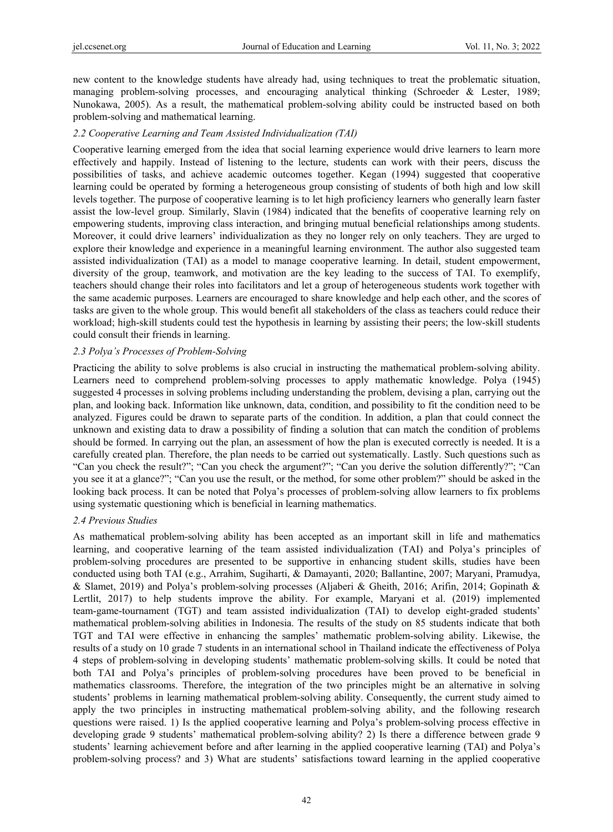new content to the knowledge students have already had, using techniques to treat the problematic situation, managing problem-solving processes, and encouraging analytical thinking (Schroeder & Lester, 1989; Nunokawa, 2005). As a result, the mathematical problem-solving ability could be instructed based on both problem-solving and mathematical learning.

## *2.2 Cooperative Learning and Team Assisted Individualization (TAI)*

Cooperative learning emerged from the idea that social learning experience would drive learners to learn more effectively and happily. Instead of listening to the lecture, students can work with their peers, discuss the possibilities of tasks, and achieve academic outcomes together. Kegan (1994) suggested that cooperative learning could be operated by forming a heterogeneous group consisting of students of both high and low skill levels together. The purpose of cooperative learning is to let high proficiency learners who generally learn faster assist the low-level group. Similarly, Slavin (1984) indicated that the benefits of cooperative learning rely on empowering students, improving class interaction, and bringing mutual beneficial relationships among students. Moreover, it could drive learners' individualization as they no longer rely on only teachers. They are urged to explore their knowledge and experience in a meaningful learning environment. The author also suggested team assisted individualization (TAI) as a model to manage cooperative learning. In detail, student empowerment, diversity of the group, teamwork, and motivation are the key leading to the success of TAI. To exemplify, teachers should change their roles into facilitators and let a group of heterogeneous students work together with the same academic purposes. Learners are encouraged to share knowledge and help each other, and the scores of tasks are given to the whole group. This would benefit all stakeholders of the class as teachers could reduce their workload; high-skill students could test the hypothesis in learning by assisting their peers; the low-skill students could consult their friends in learning.

# *2.3 Polya's Processes of Problem-Solving*

Practicing the ability to solve problems is also crucial in instructing the mathematical problem-solving ability. Learners need to comprehend problem-solving processes to apply mathematic knowledge. Polya (1945) suggested 4 processes in solving problems including understanding the problem, devising a plan, carrying out the plan, and looking back. Information like unknown, data, condition, and possibility to fit the condition need to be analyzed. Figures could be drawn to separate parts of the condition. In addition, a plan that could connect the unknown and existing data to draw a possibility of finding a solution that can match the condition of problems should be formed. In carrying out the plan, an assessment of how the plan is executed correctly is needed. It is a carefully created plan. Therefore, the plan needs to be carried out systematically. Lastly. Such questions such as "Can you check the result?"; "Can you check the argument?"; "Can you derive the solution differently?"; "Can you see it at a glance?"; "Can you use the result, or the method, for some other problem?" should be asked in the looking back process. It can be noted that Polya's processes of problem-solving allow learners to fix problems using systematic questioning which is beneficial in learning mathematics.

# *2.4 Previous Studies*

As mathematical problem-solving ability has been accepted as an important skill in life and mathematics learning, and cooperative learning of the team assisted individualization (TAI) and Polya's principles of problem-solving procedures are presented to be supportive in enhancing student skills, studies have been conducted using both TAI (e.g., Arrahim, Sugiharti, & Damayanti, 2020; Ballantine, 2007; Maryani, Pramudya, & Slamet, 2019) and Polya's problem-solving processes (Aljaberi & Gheith, 2016; Arifin, 2014; Gopinath & Lertlit, 2017) to help students improve the ability. For example, Maryani et al. (2019) implemented team-game-tournament (TGT) and team assisted individualization (TAI) to develop eight-graded students' mathematical problem-solving abilities in Indonesia. The results of the study on 85 students indicate that both TGT and TAI were effective in enhancing the samples' mathematic problem-solving ability. Likewise, the results of a study on 10 grade 7 students in an international school in Thailand indicate the effectiveness of Polya 4 steps of problem-solving in developing students' mathematic problem-solving skills. It could be noted that both TAI and Polya's principles of problem-solving procedures have been proved to be beneficial in mathematics classrooms. Therefore, the integration of the two principles might be an alternative in solving students' problems in learning mathematical problem-solving ability. Consequently, the current study aimed to apply the two principles in instructing mathematical problem-solving ability, and the following research questions were raised. 1) Is the applied cooperative learning and Polya's problem-solving process effective in developing grade 9 students' mathematical problem-solving ability? 2) Is there a difference between grade 9 students' learning achievement before and after learning in the applied cooperative learning (TAI) and Polya's problem-solving process? and 3) What are students' satisfactions toward learning in the applied cooperative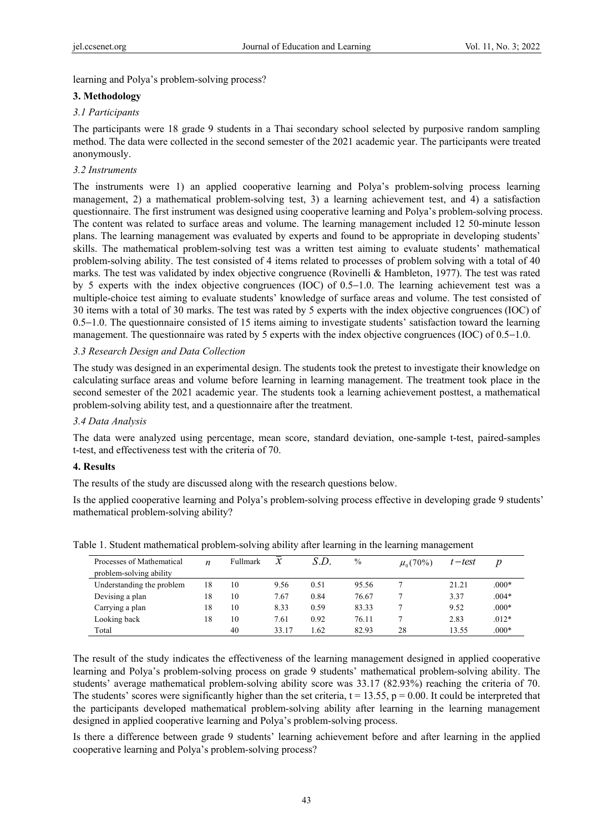learning and Polya's problem-solving process?

# **3. Methodology**

# *3.1 Participants*

The participants were 18 grade 9 students in a Thai secondary school selected by purposive random sampling method. The data were collected in the second semester of the 2021 academic year. The participants were treated anonymously.

# *3.2 Instruments*

The instruments were 1) an applied cooperative learning and Polya's problem-solving process learning management, 2) a mathematical problem-solving test, 3) a learning achievement test, and 4) a satisfaction questionnaire. The first instrument was designed using cooperative learning and Polya's problem-solving process. The content was related to surface areas and volume. The learning management included 12 50-minute lesson plans. The learning management was evaluated by experts and found to be appropriate in developing students' skills. The mathematical problem-solving test was a written test aiming to evaluate students' mathematical problem-solving ability. The test consisted of 4 items related to processes of problem solving with a total of 40 marks. The test was validated by index objective congruence (Rovinelli & Hambleton, 1977). The test was rated by 5 experts with the index objective congruences (IOC) of 0.5−1.0. The learning achievement test was a multiple-choice test aiming to evaluate students' knowledge of surface areas and volume. The test consisted of 30 items with a total of 30 marks. The test was rated by 5 experts with the index objective congruences (IOC) of 0.5−1.0. The questionnaire consisted of 15 items aiming to investigate students' satisfaction toward the learning management. The questionnaire was rated by 5 experts with the index objective congruences (IOC) of 0.5−1.0.

# *3.3 Research Design and Data Collection*

The study was designed in an experimental design. The students took the pretest to investigate their knowledge on calculating surface areas and volume before learning in learning management. The treatment took place in the second semester of the 2021 academic year. The students took a learning achievement posttest, a mathematical problem-solving ability test, and a questionnaire after the treatment.

## *3.4 Data Analysis*

The data were analyzed using percentage, mean score, standard deviation, one-sample t-test, paired-samples t-test, and effectiveness test with the criteria of 70.

#### **4. Results**

The results of the study are discussed along with the research questions below.

Is the applied cooperative learning and Polya's problem-solving process effective in developing grade 9 students' mathematical problem-solving ability?

| Processes of Mathematical<br>problem-solving ability | n  | Fullmark |       | S.D. | $\%$  | $\mu_{0}(70\%)$ | $t$ – test | $\boldsymbol{p}$ |
|------------------------------------------------------|----|----------|-------|------|-------|-----------------|------------|------------------|
| Understanding the problem                            | 18 | 10       | 9.56  | 0.51 | 95.56 |                 | 21.21      | $.000*$          |
| Devising a plan                                      | 18 | 10       | 7.67  | 0.84 | 76.67 |                 | 3.37       | $.004*$          |
| Carrying a plan                                      | 18 | 10       | 8.33  | 0.59 | 83.33 |                 | 9.52       | $.000*$          |
| Looking back                                         | 18 | 10       | 7.61  | 0.92 | 76.11 |                 | 2.83       | $.012*$          |
| Total                                                |    | 40       | 33.17 | .62  | 82.93 | 28              | 13.55      | $.000*$          |

Table 1. Student mathematical problem-solving ability after learning in the learning management

The result of the study indicates the effectiveness of the learning management designed in applied cooperative learning and Polya's problem-solving process on grade 9 students' mathematical problem-solving ability. The students' average mathematical problem-solving ability score was 33.17 (82.93%) reaching the criteria of 70. The students' scores were significantly higher than the set criteria,  $t = 13.55$ ,  $p = 0.00$ . It could be interpreted that the participants developed mathematical problem-solving ability after learning in the learning management designed in applied cooperative learning and Polya's problem-solving process.

Is there a difference between grade 9 students' learning achievement before and after learning in the applied cooperative learning and Polya's problem-solving process?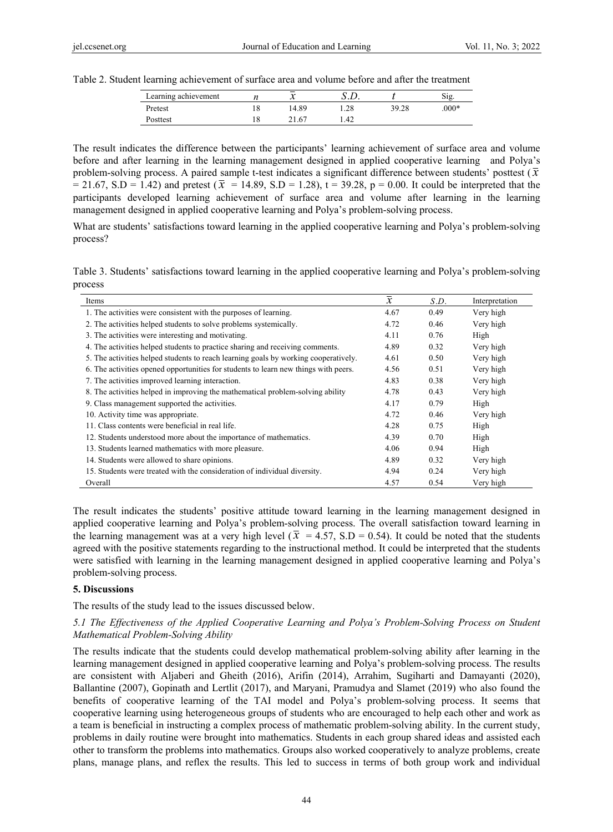Table 2. Student learning achievement of surface area and volume before and after the treatment

| Learning achievement |    | -<br>٦.<br>v |      |       | 512     |
|----------------------|----|--------------|------|-------|---------|
| Pretest              | 18 | 4.89         | 1.28 | 39.28 | $.000*$ |
| Posttest             | 10 | 21.67        | 1.42 |       |         |

The result indicates the difference between the participants' learning achievement of surface area and volume before and after learning in the learning management designed in applied cooperative learning and Polya's problem-solving process. A paired sample t-test indicates a significant difference between students' posttest  $(\bar{x})$  $= 21.67$ , S.D = 1.42) and pretest ( $\bar{x}$  = 14.89, S.D = 1.28), t = 39.28, p = 0.00. It could be interpreted that the participants developed learning achievement of surface area and volume after learning in the learning management designed in applied cooperative learning and Polya's problem-solving process.

What are students' satisfactions toward learning in the applied cooperative learning and Polya's problem-solving process?

Table 3. Students' satisfactions toward learning in the applied cooperative learning and Polya's problem-solving process

| Items                                                                               | $\overline{\phantom{0}}$<br>$\mathcal{X}$ | S.D. | Interpretation |
|-------------------------------------------------------------------------------------|-------------------------------------------|------|----------------|
| 1. The activities were consistent with the purposes of learning.                    | 4.67                                      | 0.49 | Very high      |
| 2. The activities helped students to solve problems systemically.                   | 4.72                                      | 0.46 | Very high      |
| 3. The activities were interesting and motivating.                                  | 4.11                                      | 0.76 | High           |
| 4. The activities helped students to practice sharing and receiving comments.       | 4.89                                      | 0.32 | Very high      |
| 5. The activities helped students to reach learning goals by working cooperatively. | 4.61                                      | 0.50 | Very high      |
| 6. The activities opened opportunities for students to learn new things with peers. | 4.56                                      | 0.51 | Very high      |
| 7. The activities improved learning interaction.                                    | 4.83                                      | 0.38 | Very high      |
| 8. The activities helped in improving the mathematical problem-solving ability      | 4.78                                      | 0.43 | Very high      |
| 9. Class management supported the activities.                                       | 4.17                                      | 0.79 | High           |
| 10. Activity time was appropriate.                                                  | 4.72                                      | 0.46 | Very high      |
| 11. Class contents were beneficial in real life.                                    | 4.28                                      | 0.75 | High           |
| 12. Students understood more about the importance of mathematics.                   | 4.39                                      | 0.70 | High           |
| 13. Students learned mathematics with more pleasure.                                | 4.06                                      | 0.94 | High           |
| 14. Students were allowed to share opinions.                                        | 4.89                                      | 0.32 | Very high      |
| 15. Students were treated with the consideration of individual diversity.           | 4.94                                      | 0.24 | Very high      |
| Overall                                                                             | 4.57                                      | 0.54 | Very high      |

The result indicates the students' positive attitude toward learning in the learning management designed in applied cooperative learning and Polya's problem-solving process. The overall satisfaction toward learning in the learning management was at a very high level ( $\bar{x}$  = 4.57, S.D = 0.54). It could be noted that the students agreed with the positive statements regarding to the instructional method. It could be interpreted that the students were satisfied with learning in the learning management designed in applied cooperative learning and Polya's problem-solving process.

#### **5. Discussions**

#### The results of the study lead to the issues discussed below.

#### *5.1 The Effectiveness of the Applied Cooperative Learning and Polya's Problem-Solving Process on Student Mathematical Problem-Solving Ability*

The results indicate that the students could develop mathematical problem-solving ability after learning in the learning management designed in applied cooperative learning and Polya's problem-solving process. The results are consistent with Aljaberi and Gheith (2016), Arifin (2014), Arrahim, Sugiharti and Damayanti (2020), Ballantine (2007), Gopinath and Lertlit (2017), and Maryani, Pramudya and Slamet (2019) who also found the benefits of cooperative learning of the TAI model and Polya's problem-solving process. It seems that cooperative learning using heterogeneous groups of students who are encouraged to help each other and work as a team is beneficial in instructing a complex process of mathematic problem-solving ability. In the current study, problems in daily routine were brought into mathematics. Students in each group shared ideas and assisted each other to transform the problems into mathematics. Groups also worked cooperatively to analyze problems, create plans, manage plans, and reflex the results. This led to success in terms of both group work and individual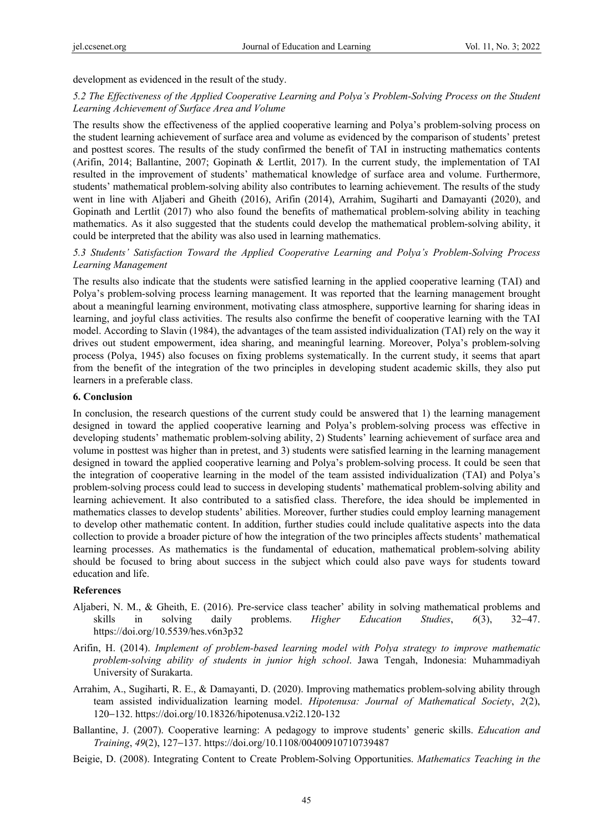development as evidenced in the result of the study.

# *5.2 The Effectiveness of the Applied Cooperative Learning and Polya's Problem-Solving Process on the Student Learning Achievement of Surface Area and Volume*

The results show the effectiveness of the applied cooperative learning and Polya's problem-solving process on the student learning achievement of surface area and volume as evidenced by the comparison of students' pretest and posttest scores. The results of the study confirmed the benefit of TAI in instructing mathematics contents (Arifin, 2014; Ballantine, 2007; Gopinath & Lertlit, 2017). In the current study, the implementation of TAI resulted in the improvement of students' mathematical knowledge of surface area and volume. Furthermore, students' mathematical problem-solving ability also contributes to learning achievement. The results of the study went in line with Aljaberi and Gheith (2016), Arifin (2014), Arrahim, Sugiharti and Damayanti (2020), and Gopinath and Lertlit (2017) who also found the benefits of mathematical problem-solving ability in teaching mathematics. As it also suggested that the students could develop the mathematical problem-solving ability, it could be interpreted that the ability was also used in learning mathematics.

# *5.3 Students' Satisfaction Toward the Applied Cooperative Learning and Polya's Problem-Solving Process Learning Management*

The results also indicate that the students were satisfied learning in the applied cooperative learning (TAI) and Polya's problem-solving process learning management. It was reported that the learning management brought about a meaningful learning environment, motivating class atmosphere, supportive learning for sharing ideas in learning, and joyful class activities. The results also confirme the benefit of cooperative learning with the TAI model. According to Slavin (1984), the advantages of the team assisted individualization (TAI) rely on the way it drives out student empowerment, idea sharing, and meaningful learning. Moreover, Polya's problem-solving process (Polya, 1945) also focuses on fixing problems systematically. In the current study, it seems that apart from the benefit of the integration of the two principles in developing student academic skills, they also put learners in a preferable class.

#### **6. Conclusion**

In conclusion, the research questions of the current study could be answered that 1) the learning management designed in toward the applied cooperative learning and Polya's problem-solving process was effective in developing students' mathematic problem-solving ability, 2) Students' learning achievement of surface area and volume in posttest was higher than in pretest, and 3) students were satisfied learning in the learning management designed in toward the applied cooperative learning and Polya's problem-solving process. It could be seen that the integration of cooperative learning in the model of the team assisted individualization (TAI) and Polya's problem-solving process could lead to success in developing students' mathematical problem-solving ability and learning achievement. It also contributed to a satisfied class. Therefore, the idea should be implemented in mathematics classes to develop students' abilities. Moreover, further studies could employ learning management to develop other mathematic content. In addition, further studies could include qualitative aspects into the data collection to provide a broader picture of how the integration of the two principles affects students' mathematical learning processes. As mathematics is the fundamental of education, mathematical problem-solving ability should be focused to bring about success in the subject which could also pave ways for students toward education and life.

# **References**

- Aljaberi, N. M., & Gheith, E. (2016). Pre-service class teacher' ability in solving mathematical problems and skills in solving daily problems. *Higher Education Studies*, *6*(3), 32−47. https://doi.org/10.5539/hes.v6n3p32
- Arifin, H. (2014). *Implement of problem-based learning model with Polya strategy to improve mathematic problem-solving ability of students in junior high school*. Jawa Tengah, Indonesia: Muhammadiyah University of Surakarta.
- Arrahim, A., Sugiharti, R. E., & Damayanti, D. (2020). Improving mathematics problem-solving ability through team assisted individualization learning model. *Hipotenusa: Journal of Mathematical Society*, *2*(2), 120−132. https://doi.org/10.18326/hipotenusa.v2i2.120-132
- Ballantine, J. (2007). Cooperative learning: A pedagogy to improve students' generic skills. *Education and Training*, *49*(2), 127−137. https://doi.org/10.1108/00400910710739487
- Beigie, D. (2008). Integrating Content to Create Problem-Solving Opportunities. *Mathematics Teaching in the*